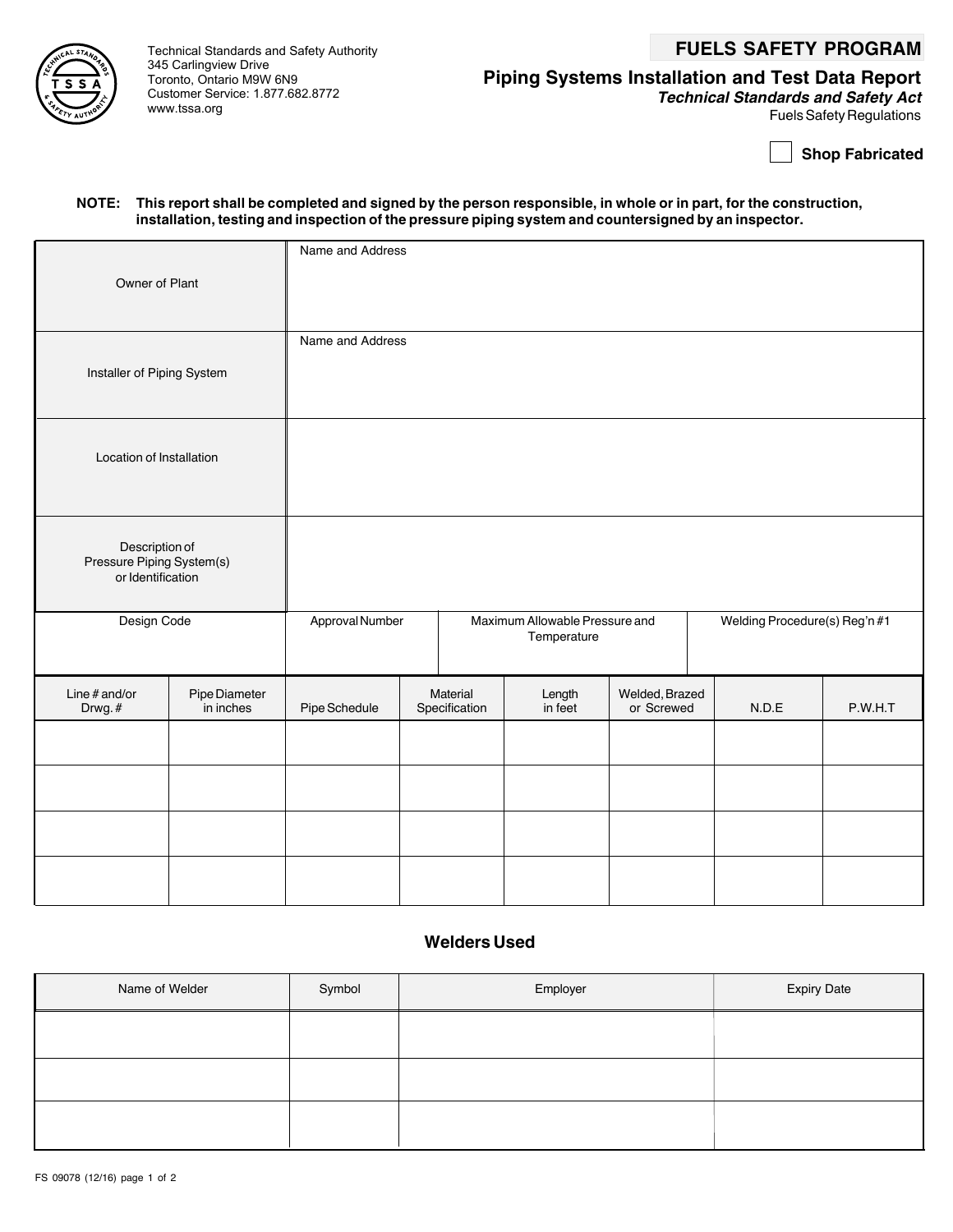# Technical Standards and Safety Authority **FUELS SAFETY PROGRAM**



345 Carlingview Drive Toronto, Ontario M9W 6N9 Customer Service: 1.877.682.8772 www.tssa.org

# **Piping Systems Installation and Test Data Report**

**Technical Standards and Safety Act** Fuels Safety Regulations

**Shop Fabricated**

#### **NOTE: This report shall be completed and signed by the person responsible, in whole or in part, for the construction, installation, testing and inspection of the pressure piping system and countersigned by an inspector.**

| Owner of Plant                                                   |                            | Name and Address |                                                                  |                           |                               |                              |       |         |
|------------------------------------------------------------------|----------------------------|------------------|------------------------------------------------------------------|---------------------------|-------------------------------|------------------------------|-------|---------|
| Installer of Piping System                                       |                            | Name and Address |                                                                  |                           |                               |                              |       |         |
| Location of Installation                                         |                            |                  |                                                                  |                           |                               |                              |       |         |
| Description of<br>Pressure Piping System(s)<br>or Identification |                            |                  |                                                                  |                           |                               |                              |       |         |
| Design Code                                                      |                            |                  | Approval Number<br>Maximum Allowable Pressure and<br>Temperature |                           | Welding Procedure(s) Reg'n #1 |                              |       |         |
| Line $#$ and/or<br>Drwg.#                                        | Pipe Diameter<br>in inches | Pipe Schedule    |                                                                  | Material<br>Specification | Length<br>in feet             | Welded, Brazed<br>or Screwed | N.D.E | P.W.H.T |
|                                                                  |                            |                  |                                                                  |                           |                               |                              |       |         |
|                                                                  |                            |                  |                                                                  |                           |                               |                              |       |         |
|                                                                  |                            |                  |                                                                  |                           |                               |                              |       |         |
|                                                                  |                            |                  |                                                                  |                           |                               |                              |       |         |

### **Welders Used**

| Name of Welder | Symbol | Employer | <b>Expiry Date</b> |
|----------------|--------|----------|--------------------|
|                |        |          |                    |
|                |        |          |                    |
|                |        |          |                    |
|                |        |          |                    |